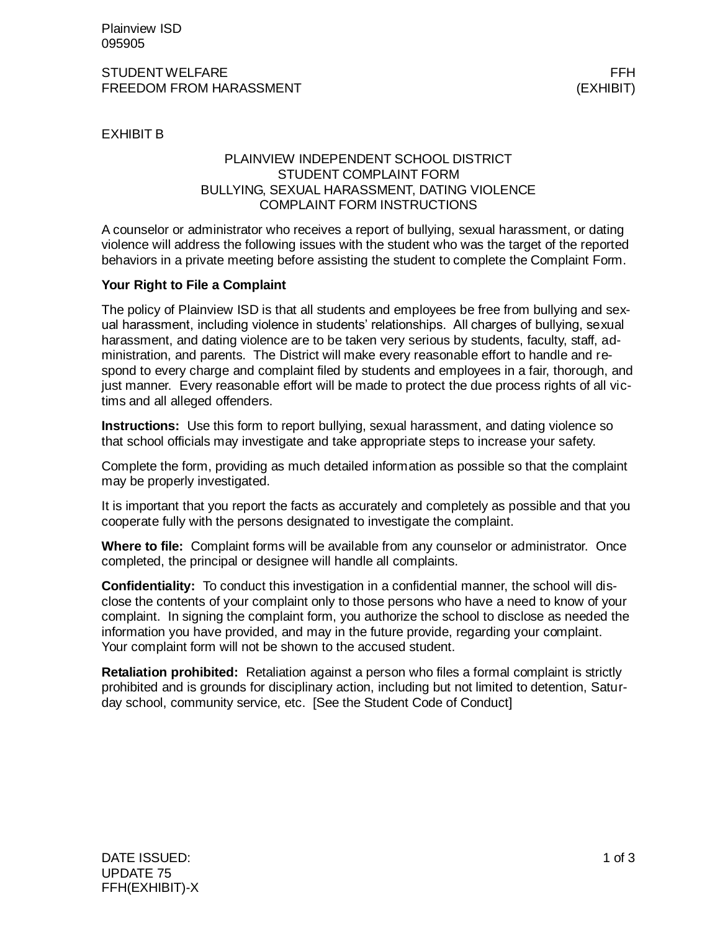#### STUDENT WELFARE FRIEDRICH STUDENT WELFARE FRIEDRICH STUDENT WELFARE FRIEDRICH STUDENT WELFARE **FREEDOM FROM HARASSMENT EXHIBIT** (EXHIBIT)

EXHIBIT B

### PLAINVIEW INDEPENDENT SCHOOL DISTRICT STUDENT COMPLAINT FORM BULLYING, SEXUAL HARASSMENT, DATING VIOLENCE COMPLAINT FORM INSTRUCTIONS

A counselor or administrator who receives a report of bullying, sexual harassment, or dating violence will address the following issues with the student who was the target of the reported behaviors in a private meeting before assisting the student to complete the Complaint Form.

### **Your Right to File a Complaint**

The policy of Plainview ISD is that all students and employees be free from bullying and sexual harassment, including violence in students' relationships. All charges of bullying, sexual harassment, and dating violence are to be taken very serious by students, faculty, staff, administration, and parents. The District will make every reasonable effort to handle and respond to every charge and complaint filed by students and employees in a fair, thorough, and just manner. Every reasonable effort will be made to protect the due process rights of all victims and all alleged offenders.

**Instructions:** Use this form to report bullying, sexual harassment, and dating violence so that school officials may investigate and take appropriate steps to increase your safety.

Complete the form, providing as much detailed information as possible so that the complaint may be properly investigated.

It is important that you report the facts as accurately and completely as possible and that you cooperate fully with the persons designated to investigate the complaint.

**Where to file:** Complaint forms will be available from any counselor or administrator. Once completed, the principal or designee will handle all complaints.

**Confidentiality:** To conduct this investigation in a confidential manner, the school will disclose the contents of your complaint only to those persons who have a need to know of your complaint. In signing the complaint form, you authorize the school to disclose as needed the information you have provided, and may in the future provide, regarding your complaint. Your complaint form will not be shown to the accused student.

**Retaliation prohibited:** Retaliation against a person who files a formal complaint is strictly prohibited and is grounds for disciplinary action, including but not limited to detention, Saturday school, community service, etc. [See the Student Code of Conduct]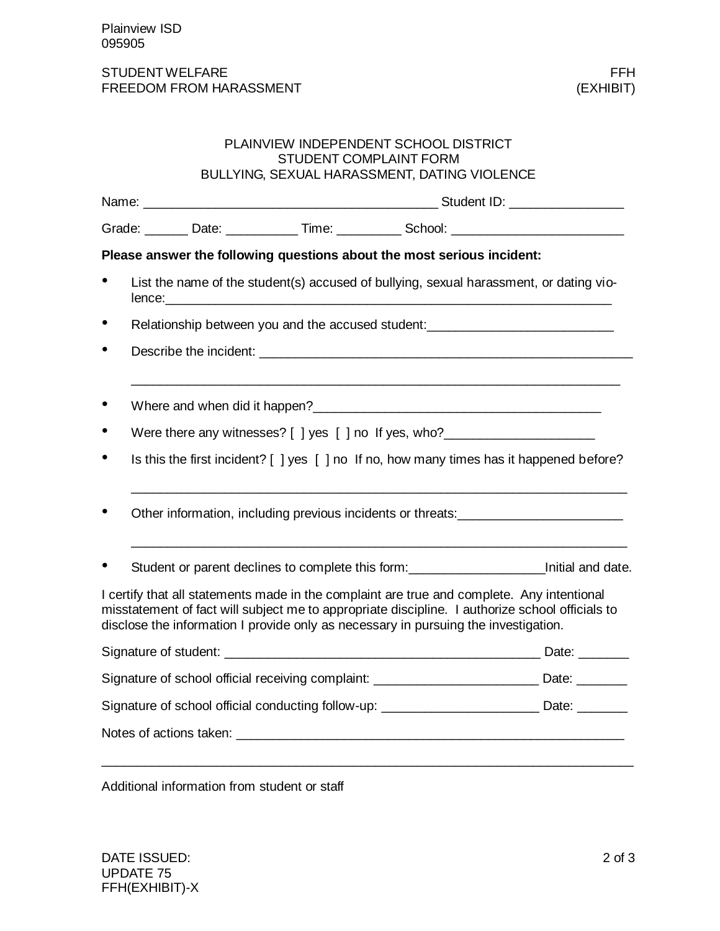## STUDENT WELFARE FFH<br>FREEDOM FROM HARASSMENT FREEDOM FROM HARASSMENT FREEDOM FROM HARASSMENT

|                                                                                                   |                                                                                  |                               | PLAINVIEW INDEPENDENT SCHOOL DISTRICT                                                                                                                                                                                          |                                                                                                                                                                                               |  |
|---------------------------------------------------------------------------------------------------|----------------------------------------------------------------------------------|-------------------------------|--------------------------------------------------------------------------------------------------------------------------------------------------------------------------------------------------------------------------------|-----------------------------------------------------------------------------------------------------------------------------------------------------------------------------------------------|--|
|                                                                                                   |                                                                                  | <b>STUDENT COMPLAINT FORM</b> | BULLYING, SEXUAL HARASSMENT, DATING VIOLENCE                                                                                                                                                                                   |                                                                                                                                                                                               |  |
|                                                                                                   |                                                                                  |                               |                                                                                                                                                                                                                                |                                                                                                                                                                                               |  |
|                                                                                                   |                                                                                  |                               |                                                                                                                                                                                                                                | Grade: _______ Date: ___________ Time: _________ School: _______________________                                                                                                              |  |
|                                                                                                   |                                                                                  |                               | Please answer the following questions about the most serious incident:                                                                                                                                                         |                                                                                                                                                                                               |  |
| $\bullet$                                                                                         |                                                                                  |                               |                                                                                                                                                                                                                                | List the name of the student(s) accused of bullying, sexual harassment, or dating vio-                                                                                                        |  |
| $\bullet$                                                                                         |                                                                                  |                               |                                                                                                                                                                                                                                | Relationship between you and the accused student: ______________________________                                                                                                              |  |
| $\bullet$                                                                                         |                                                                                  |                               |                                                                                                                                                                                                                                |                                                                                                                                                                                               |  |
| $\bullet$                                                                                         |                                                                                  |                               | Where and when did it happen?<br><u> Where and when did it happen?</u>                                                                                                                                                         |                                                                                                                                                                                               |  |
| $\bullet$                                                                                         | Were there any witnesses? [ ] yes [ ] no If yes, who?___________________________ |                               |                                                                                                                                                                                                                                |                                                                                                                                                                                               |  |
| $\bullet$                                                                                         |                                                                                  |                               |                                                                                                                                                                                                                                | Is this the first incident? [] yes [] no If no, how many times has it happened before?                                                                                                        |  |
| $\bullet$                                                                                         |                                                                                  |                               |                                                                                                                                                                                                                                | Other information, including previous incidents or threats:                                                                                                                                   |  |
| $\bullet$                                                                                         |                                                                                  |                               |                                                                                                                                                                                                                                | Student or parent declines to complete this form:<br><u>Linitial and date.</u>                                                                                                                |  |
|                                                                                                   |                                                                                  |                               | disclose the information I provide only as necessary in pursuing the investigation.                                                                                                                                            | I certify that all statements made in the complaint are true and complete. Any intentional<br>misstatement of fact will subject me to appropriate discipline. I authorize school officials to |  |
|                                                                                                   |                                                                                  |                               |                                                                                                                                                                                                                                |                                                                                                                                                                                               |  |
| Signature of school official receiving complaint: _______________________________ Date: _________ |                                                                                  |                               |                                                                                                                                                                                                                                |                                                                                                                                                                                               |  |
| Signature of school official conducting follow-up: _____________________________ Date: _________  |                                                                                  |                               |                                                                                                                                                                                                                                |                                                                                                                                                                                               |  |
|                                                                                                   |                                                                                  |                               | Notes of actions taken: the control of the control of the control of the control of the control of the control of the control of the control of the control of the control of the control of the control of the control of the |                                                                                                                                                                                               |  |

 $\_$  , and the set of the set of the set of the set of the set of the set of the set of the set of the set of the set of the set of the set of the set of the set of the set of the set of the set of the set of the set of th

Additional information from student or staff